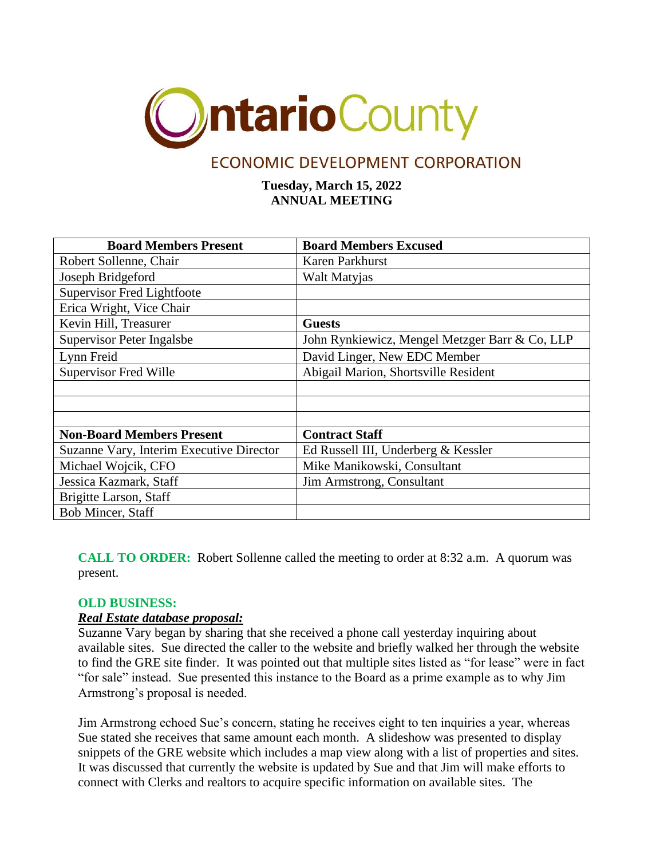

# ECONOMIC DEVELOPMENT CORPORATION

**Tuesday, March 15, 2022 ANNUAL MEETING**

| <b>Board Members Present</b>             | <b>Board Members Excused</b>                   |
|------------------------------------------|------------------------------------------------|
| Robert Sollenne, Chair                   | Karen Parkhurst                                |
| Joseph Bridgeford                        | Walt Matyjas                                   |
| <b>Supervisor Fred Lightfoote</b>        |                                                |
| Erica Wright, Vice Chair                 |                                                |
| Kevin Hill, Treasurer                    | <b>Guests</b>                                  |
| Supervisor Peter Ingalsbe                | John Rynkiewicz, Mengel Metzger Barr & Co, LLP |
| Lynn Freid                               | David Linger, New EDC Member                   |
| <b>Supervisor Fred Wille</b>             | Abigail Marion, Shortsville Resident           |
|                                          |                                                |
|                                          |                                                |
|                                          |                                                |
| <b>Non-Board Members Present</b>         | <b>Contract Staff</b>                          |
| Suzanne Vary, Interim Executive Director | Ed Russell III, Underberg & Kessler            |
| Michael Wojcik, CFO                      | Mike Manikowski, Consultant                    |
| Jessica Kazmark, Staff                   | Jim Armstrong, Consultant                      |
| Brigitte Larson, Staff                   |                                                |
| <b>Bob Mincer, Staff</b>                 |                                                |

**CALL TO ORDER:** Robert Sollenne called the meeting to order at 8:32 a.m. A quorum was present.

# **OLD BUSINESS:**

# *Real Estate database proposal:*

Suzanne Vary began by sharing that she received a phone call yesterday inquiring about available sites. Sue directed the caller to the website and briefly walked her through the website to find the GRE site finder. It was pointed out that multiple sites listed as "for lease" were in fact "for sale" instead. Sue presented this instance to the Board as a prime example as to why Jim Armstrong's proposal is needed.

Jim Armstrong echoed Sue's concern, stating he receives eight to ten inquiries a year, whereas Sue stated she receives that same amount each month. A slideshow was presented to display snippets of the GRE website which includes a map view along with a list of properties and sites. It was discussed that currently the website is updated by Sue and that Jim will make efforts to connect with Clerks and realtors to acquire specific information on available sites. The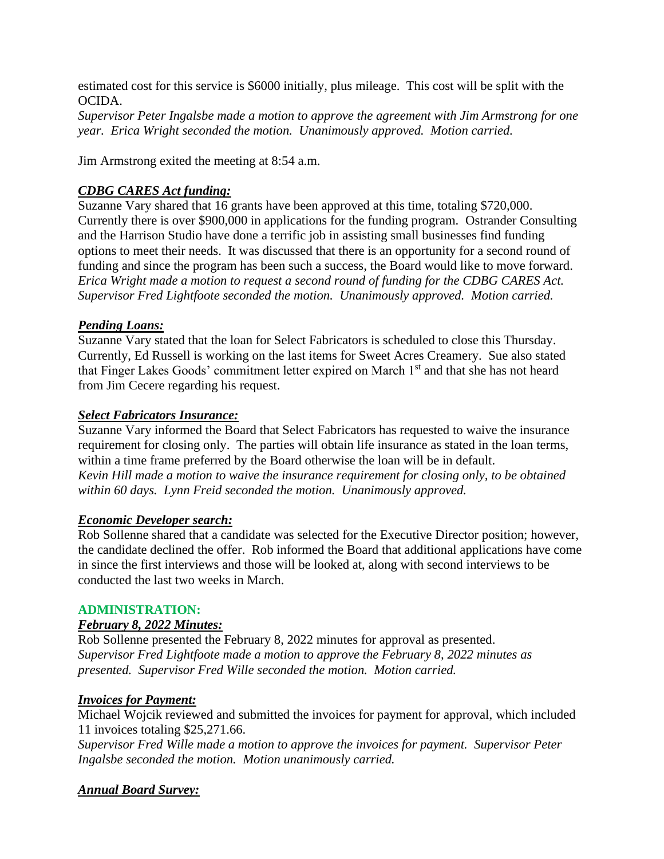estimated cost for this service is \$6000 initially, plus mileage. This cost will be split with the OCIDA.

*Supervisor Peter Ingalsbe made a motion to approve the agreement with Jim Armstrong for one year. Erica Wright seconded the motion. Unanimously approved. Motion carried.*

Jim Armstrong exited the meeting at 8:54 a.m.

# *CDBG CARES Act funding:*

Suzanne Vary shared that 16 grants have been approved at this time, totaling \$720,000. Currently there is over \$900,000 in applications for the funding program. Ostrander Consulting and the Harrison Studio have done a terrific job in assisting small businesses find funding options to meet their needs. It was discussed that there is an opportunity for a second round of funding and since the program has been such a success, the Board would like to move forward. *Erica Wright made a motion to request a second round of funding for the CDBG CARES Act. Supervisor Fred Lightfoote seconded the motion. Unanimously approved. Motion carried.*

# *Pending Loans:*

Suzanne Vary stated that the loan for Select Fabricators is scheduled to close this Thursday. Currently, Ed Russell is working on the last items for Sweet Acres Creamery. Sue also stated that Finger Lakes Goods' commitment letter expired on March 1<sup>st</sup> and that she has not heard from Jim Cecere regarding his request.

### *Select Fabricators Insurance:*

Suzanne Vary informed the Board that Select Fabricators has requested to waive the insurance requirement for closing only. The parties will obtain life insurance as stated in the loan terms, within a time frame preferred by the Board otherwise the loan will be in default. *Kevin Hill made a motion to waive the insurance requirement for closing only, to be obtained within 60 days. Lynn Freid seconded the motion. Unanimously approved.*

#### *Economic Developer search:*

Rob Sollenne shared that a candidate was selected for the Executive Director position; however, the candidate declined the offer. Rob informed the Board that additional applications have come in since the first interviews and those will be looked at, along with second interviews to be conducted the last two weeks in March.

#### **ADMINISTRATION:**

#### *February 8, 2022 Minutes:*

Rob Sollenne presented the February 8, 2022 minutes for approval as presented. *Supervisor Fred Lightfoote made a motion to approve the February 8, 2022 minutes as presented. Supervisor Fred Wille seconded the motion. Motion carried.*

#### *Invoices for Payment:*

Michael Wojcik reviewed and submitted the invoices for payment for approval, which included 11 invoices totaling \$25,271.66.

*Supervisor Fred Wille made a motion to approve the invoices for payment. Supervisor Peter Ingalsbe seconded the motion. Motion unanimously carried.*

# *Annual Board Survey:*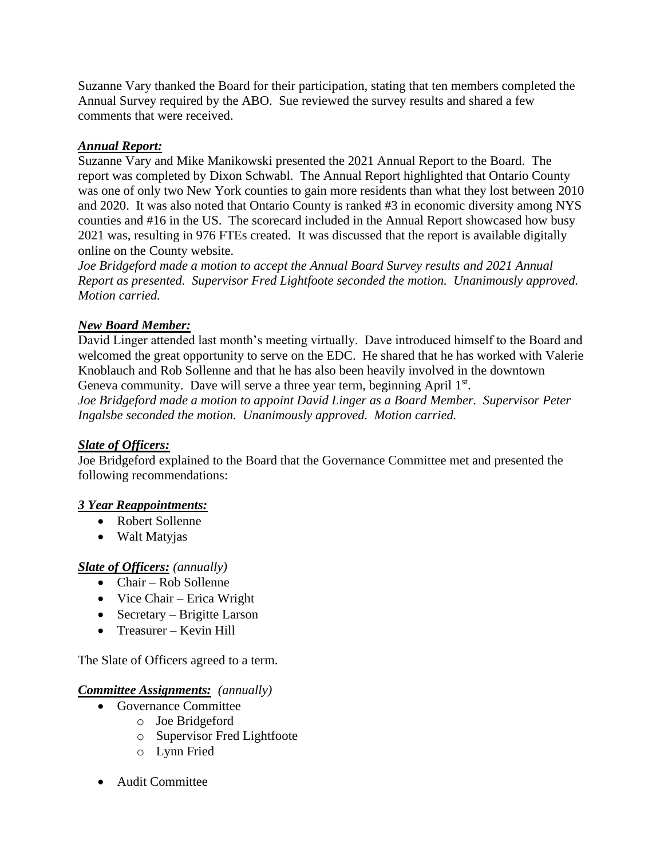Suzanne Vary thanked the Board for their participation, stating that ten members completed the Annual Survey required by the ABO. Sue reviewed the survey results and shared a few comments that were received.

# *Annual Report:*

Suzanne Vary and Mike Manikowski presented the 2021 Annual Report to the Board. The report was completed by Dixon Schwabl. The Annual Report highlighted that Ontario County was one of only two New York counties to gain more residents than what they lost between 2010 and 2020. It was also noted that Ontario County is ranked #3 in economic diversity among NYS counties and #16 in the US. The scorecard included in the Annual Report showcased how busy 2021 was, resulting in 976 FTEs created. It was discussed that the report is available digitally online on the County website.

*Joe Bridgeford made a motion to accept the Annual Board Survey results and 2021 Annual Report as presented. Supervisor Fred Lightfoote seconded the motion. Unanimously approved. Motion carried.*

# *New Board Member:*

David Linger attended last month's meeting virtually. Dave introduced himself to the Board and welcomed the great opportunity to serve on the EDC. He shared that he has worked with Valerie Knoblauch and Rob Sollenne and that he has also been heavily involved in the downtown Geneva community. Dave will serve a three year term, beginning April 1st. *Joe Bridgeford made a motion to appoint David Linger as a Board Member. Supervisor Peter Ingalsbe seconded the motion. Unanimously approved. Motion carried.*

# *Slate of Officers:*

Joe Bridgeford explained to the Board that the Governance Committee met and presented the following recommendations:

# *3 Year Reappointments:*

- Robert Sollenne
- Walt Matyjas

# *Slate of Officers: (annually)*

- Chair Rob Sollenne
- Vice Chair Erica Wright
- Secretary Brigitte Larson
- Treasurer Kevin Hill

The Slate of Officers agreed to a term.

# *Committee Assignments: (annually)*

- Governance Committee
	- o Joe Bridgeford
	- o Supervisor Fred Lightfoote
	- o Lynn Fried
- Audit Committee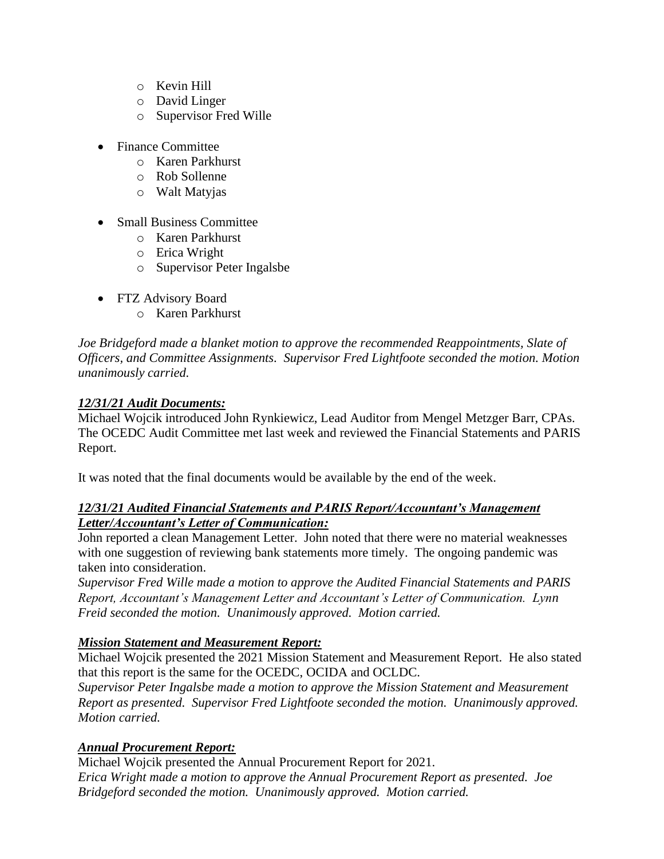- o Kevin Hill
- o David Linger
- o Supervisor Fred Wille
- Finance Committee
	- o Karen Parkhurst
	- o Rob Sollenne
	- o Walt Matyjas
- Small Business Committee
	- o Karen Parkhurst
	- o Erica Wright
	- o Supervisor Peter Ingalsbe
- FTZ Advisory Board
	- o Karen Parkhurst

*Joe Bridgeford made a blanket motion to approve the recommended Reappointments, Slate of Officers, and Committee Assignments. Supervisor Fred Lightfoote seconded the motion. Motion unanimously carried.*

# *12/31/21 Audit Documents:*

Michael Wojcik introduced John Rynkiewicz, Lead Auditor from Mengel Metzger Barr, CPAs. The OCEDC Audit Committee met last week and reviewed the Financial Statements and PARIS Report.

It was noted that the final documents would be available by the end of the week.

# *12/31/21 Audited Financial Statements and PARIS Report/Accountant's Management Letter/Accountant's Letter of Communication:*

John reported a clean Management Letter. John noted that there were no material weaknesses with one suggestion of reviewing bank statements more timely. The ongoing pandemic was taken into consideration.

*Supervisor Fred Wille made a motion to approve the Audited Financial Statements and PARIS Report, Accountant's Management Letter and Accountant's Letter of Communication. Lynn Freid seconded the motion. Unanimously approved. Motion carried.*

# *Mission Statement and Measurement Report:*

Michael Wojcik presented the 2021 Mission Statement and Measurement Report. He also stated that this report is the same for the OCEDC, OCIDA and OCLDC.

*Supervisor Peter Ingalsbe made a motion to approve the Mission Statement and Measurement Report as presented. Supervisor Fred Lightfoote seconded the motion. Unanimously approved. Motion carried.*

# *Annual Procurement Report:*

Michael Wojcik presented the Annual Procurement Report for 2021. *Erica Wright made a motion to approve the Annual Procurement Report as presented. Joe Bridgeford seconded the motion. Unanimously approved. Motion carried.*